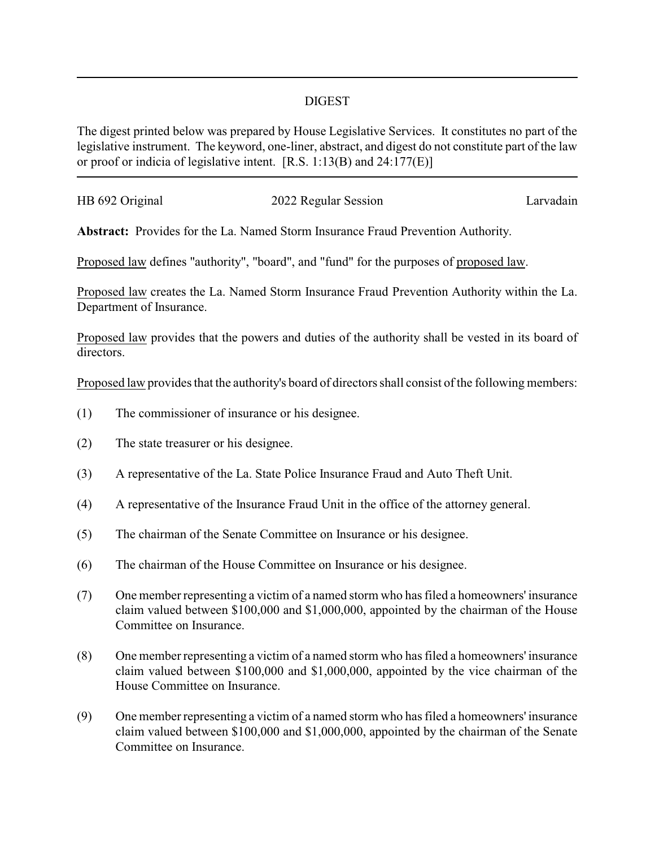## DIGEST

The digest printed below was prepared by House Legislative Services. It constitutes no part of the legislative instrument. The keyword, one-liner, abstract, and digest do not constitute part of the law or proof or indicia of legislative intent. [R.S. 1:13(B) and 24:177(E)]

| HB 692 Original | 2022 Regular Session | Larvadain |
|-----------------|----------------------|-----------|
|                 |                      |           |

**Abstract:** Provides for the La. Named Storm Insurance Fraud Prevention Authority.

Proposed law defines "authority", "board", and "fund" for the purposes of proposed law.

Proposed law creates the La. Named Storm Insurance Fraud Prevention Authority within the La. Department of Insurance.

Proposed law provides that the powers and duties of the authority shall be vested in its board of directors.

Proposed law provides that the authority's board of directors shall consist of the following members:

- (1) The commissioner of insurance or his designee.
- (2) The state treasurer or his designee.
- (3) A representative of the La. State Police Insurance Fraud and Auto Theft Unit.
- (4) A representative of the Insurance Fraud Unit in the office of the attorney general.
- (5) The chairman of the Senate Committee on Insurance or his designee.
- (6) The chairman of the House Committee on Insurance or his designee.
- (7) One member representing a victim of a named storm who has filed a homeowners' insurance claim valued between \$100,000 and \$1,000,000, appointed by the chairman of the House Committee on Insurance.
- (8) One member representing a victim of a named storm who has filed a homeowners' insurance claim valued between \$100,000 and \$1,000,000, appointed by the vice chairman of the House Committee on Insurance.
- (9) One member representing a victim of a named storm who has filed a homeowners' insurance claim valued between \$100,000 and \$1,000,000, appointed by the chairman of the Senate Committee on Insurance.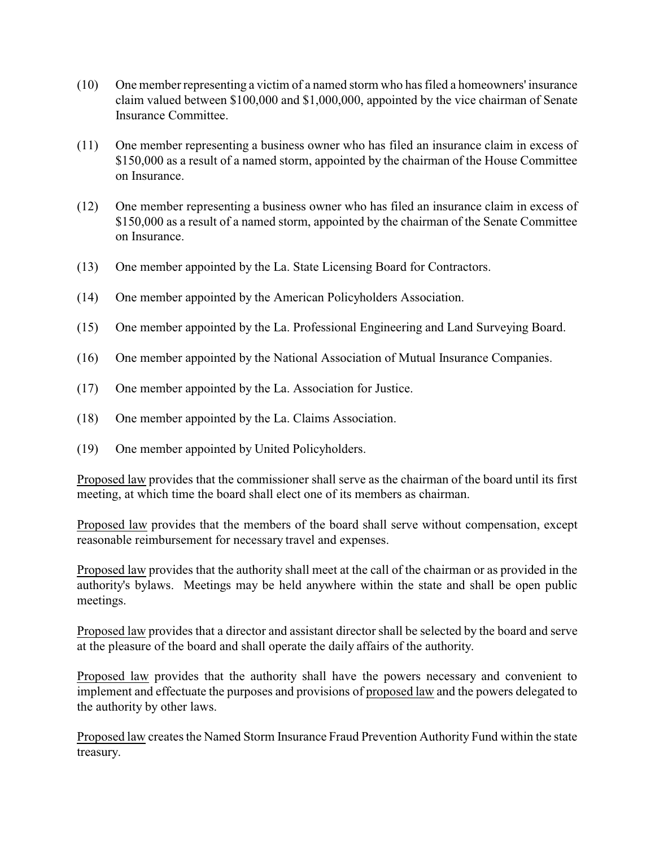- (10) One member representing a victim of a named storm who has filed a homeowners' insurance claim valued between \$100,000 and \$1,000,000, appointed by the vice chairman of Senate Insurance Committee.
- (11) One member representing a business owner who has filed an insurance claim in excess of \$150,000 as a result of a named storm, appointed by the chairman of the House Committee on Insurance.
- (12) One member representing a business owner who has filed an insurance claim in excess of \$150,000 as a result of a named storm, appointed by the chairman of the Senate Committee on Insurance.
- (13) One member appointed by the La. State Licensing Board for Contractors.
- (14) One member appointed by the American Policyholders Association.
- (15) One member appointed by the La. Professional Engineering and Land Surveying Board.
- (16) One member appointed by the National Association of Mutual Insurance Companies.
- (17) One member appointed by the La. Association for Justice.
- (18) One member appointed by the La. Claims Association.
- (19) One member appointed by United Policyholders.

Proposed law provides that the commissioner shall serve as the chairman of the board until its first meeting, at which time the board shall elect one of its members as chairman.

Proposed law provides that the members of the board shall serve without compensation, except reasonable reimbursement for necessary travel and expenses.

Proposed law provides that the authority shall meet at the call of the chairman or as provided in the authority's bylaws. Meetings may be held anywhere within the state and shall be open public meetings.

Proposed law provides that a director and assistant director shall be selected by the board and serve at the pleasure of the board and shall operate the daily affairs of the authority.

Proposed law provides that the authority shall have the powers necessary and convenient to implement and effectuate the purposes and provisions of proposed law and the powers delegated to the authority by other laws.

Proposed law creates the Named Storm Insurance Fraud Prevention Authority Fund within the state treasury.